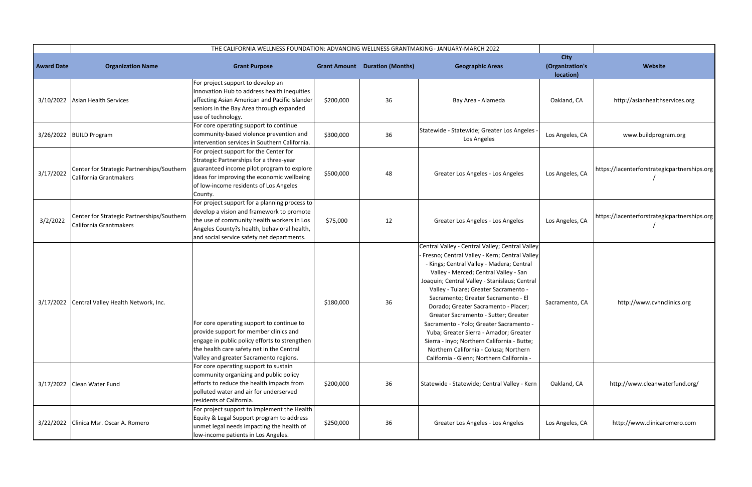|                   |                                                                      | THE CALIFORNIA WELLNESS FOUNDATION: ADVANCING WELLNESS GRANTMAKING - JANUARY-MARCH 2022                                                                                                                                               |           |                                       |                                                                                                                                                                                                                                                                                                                                                                                                                                                                                                                                                                                                                                    |                                             |                                              |
|-------------------|----------------------------------------------------------------------|---------------------------------------------------------------------------------------------------------------------------------------------------------------------------------------------------------------------------------------|-----------|---------------------------------------|------------------------------------------------------------------------------------------------------------------------------------------------------------------------------------------------------------------------------------------------------------------------------------------------------------------------------------------------------------------------------------------------------------------------------------------------------------------------------------------------------------------------------------------------------------------------------------------------------------------------------------|---------------------------------------------|----------------------------------------------|
| <b>Award Date</b> | <b>Organization Name</b>                                             | <b>Grant Purpose</b>                                                                                                                                                                                                                  |           | <b>Grant Amount Duration (Months)</b> | <b>Geographic Areas</b>                                                                                                                                                                                                                                                                                                                                                                                                                                                                                                                                                                                                            | <b>City</b><br>(Organization's<br>location) | Website                                      |
|                   | 3/10/2022 Asian Health Services                                      | For project support to develop an<br>Innovation Hub to address health inequities<br>affecting Asian American and Pacific Islander<br>seniors in the Bay Area through expanded<br>use of technology.                                   | \$200,000 | 36                                    | Bay Area - Alameda                                                                                                                                                                                                                                                                                                                                                                                                                                                                                                                                                                                                                 | Oakland, CA                                 | http://asianhealthservices.org               |
|                   | 3/26/2022 BUILD Program                                              | For core operating support to continue<br>community-based violence prevention and<br>intervention services in Southern California.                                                                                                    | \$300,000 | 36                                    | Statewide - Statewide; Greater Los Angeles -<br>Los Angeles                                                                                                                                                                                                                                                                                                                                                                                                                                                                                                                                                                        | Los Angeles, CA                             | www.buildprogram.org                         |
| 3/17/2022         | Center for Strategic Partnerships/Southern<br>California Grantmakers | For project support for the Center for<br>Strategic Partnerships for a three-year<br>guaranteed income pilot program to explore<br>ideas for improving the economic wellbeing<br>of low-income residents of Los Angeles<br>County.    | \$500,000 | 48                                    | Greater Los Angeles - Los Angeles                                                                                                                                                                                                                                                                                                                                                                                                                                                                                                                                                                                                  | Los Angeles, CA                             | https://lacenterforstrategicpartnerships.org |
| 3/2/2022          | Center for Strategic Partnerships/Southern<br>California Grantmakers | For project support for a planning process to<br>develop a vision and framework to promote<br>the use of community health workers in Los<br>Angeles County?s health, behavioral health,<br>and social service safety net departments. | \$75,000  | 12                                    | Greater Los Angeles - Los Angeles                                                                                                                                                                                                                                                                                                                                                                                                                                                                                                                                                                                                  | Los Angeles, CA                             | https://lacenterforstrategicpartnerships.org |
|                   | 3/17/2022 Central Valley Health Network, Inc.                        | For core operating support to continue to<br>provide support for member clinics and<br>engage in public policy efforts to strengthen<br>the health care safety net in the Central<br>Valley and greater Sacramento regions.           | \$180,000 | 36                                    | Central Valley - Central Valley; Central Valley<br>Fresno; Central Valley - Kern; Central Valley<br>- Kings; Central Valley - Madera; Central<br>Valley - Merced; Central Valley - San<br>Joaquin; Central Valley - Stanislaus; Central<br>Valley - Tulare; Greater Sacramento -<br>Sacramento; Greater Sacramento - El<br>Dorado; Greater Sacramento - Placer;<br>Greater Sacramento - Sutter; Greater<br>Sacramento - Yolo; Greater Sacramento -<br>Yuba; Greater Sierra - Amador; Greater<br>Sierra - Inyo; Northern California - Butte;<br>Northern California - Colusa; Northern<br>California - Glenn; Northern California - | Sacramento, CA                              | http://www.cvhnclinics.org                   |
|                   | 3/17/2022 Clean Water Fund                                           | For core operating support to sustain<br>community organizing and public policy<br>efforts to reduce the health impacts from<br>polluted water and air for underserved<br>residents of California.                                    | \$200,000 | 36                                    | Statewide - Statewide; Central Valley - Kern                                                                                                                                                                                                                                                                                                                                                                                                                                                                                                                                                                                       | Oakland, CA                                 | http://www.cleanwaterfund.org/               |
|                   | 3/22/2022 Clinica Msr. Oscar A. Romero                               | For project support to implement the Health<br>Equity & Legal Support program to address<br>unmet legal needs impacting the health of<br>low-income patients in Los Angeles.                                                          | \$250,000 | 36                                    | Greater Los Angeles - Los Angeles                                                                                                                                                                                                                                                                                                                                                                                                                                                                                                                                                                                                  | Los Angeles, CA                             | http://www.clinicaromero.com                 |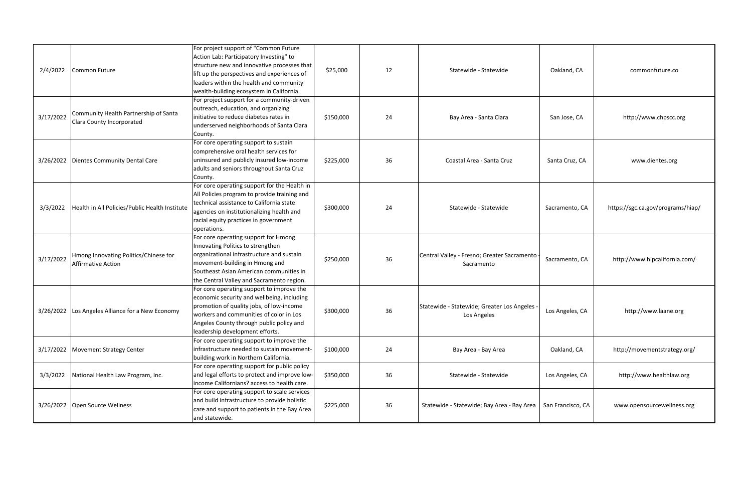| 2/4/2022  | Common Future                                                      | For project support of "Common Future<br>Action Lab: Participatory Investing" to<br>structure new and innovative processes that<br>lift up the perspectives and experiences of<br>leaders within the health and community<br>wealth-building ecosystem in California. | \$25,000  | 12 | Statewide - Statewide                                       | Oakland, CA       | commonfuture.co                   |
|-----------|--------------------------------------------------------------------|-----------------------------------------------------------------------------------------------------------------------------------------------------------------------------------------------------------------------------------------------------------------------|-----------|----|-------------------------------------------------------------|-------------------|-----------------------------------|
| 3/17/2022 | Community Health Partnership of Santa<br>Clara County Incorporated | For project support for a community-driven<br>outreach, education, and organizing<br>initiative to reduce diabetes rates in<br>underserved neighborhoods of Santa Clara<br>County.                                                                                    | \$150,000 | 24 | Bay Area - Santa Clara                                      | San Jose, CA      | http://www.chpscc.org             |
|           | 3/26/2022 Dientes Community Dental Care                            | For core operating support to sustain<br>comprehensive oral health services for<br>uninsured and publicly insured low-income<br>adults and seniors throughout Santa Cruz<br>County.                                                                                   | \$225,000 | 36 | Coastal Area - Santa Cruz                                   | Santa Cruz, CA    | www.dientes.org                   |
| 3/3/2022  | Health in All Policies/Public Health Institute                     | For core operating support for the Health in<br>All Policies program to provide training and<br>technical assistance to California state<br>agencies on institutionalizing health and<br>racial equity practices in government<br>operations.                         | \$300,000 | 24 | Statewide - Statewide                                       | Sacramento, CA    | https://sgc.ca.gov/programs/hiap/ |
| 3/17/2022 | Hmong Innovating Politics/Chinese for<br><b>Affirmative Action</b> | For core operating support for Hmong<br>Innovating Politics to strengthen<br>organizational infrastructure and sustain<br>movement-building in Hmong and<br>Southeast Asian American communities in<br>the Central Valley and Sacramento region.                      | \$250,000 | 36 | Central Valley - Fresno; Greater Sacramento<br>Sacramento   | Sacramento, CA    | http://www.hipcalifornia.com/     |
|           | 3/26/2022 Los Angeles Alliance for a New Economy                   | For core operating support to improve the<br>economic security and wellbeing, including<br>promotion of quality jobs, of low-income<br>workers and communities of color in Los<br>Angeles County through public policy and<br>leadership development efforts.         | \$300,000 | 36 | Statewide - Statewide; Greater Los Angeles -<br>Los Angeles | Los Angeles, CA   | http://www.laane.org              |
|           | 3/17/2022 Movement Strategy Center                                 | For core operating support to improve the<br>infrastructure needed to sustain movement-<br>building work in Northern California.                                                                                                                                      | \$100,000 | 24 | Bay Area - Bay Area                                         | Oakland, CA       | http://movementstrategy.org/      |
| 3/3/2022  | National Health Law Program, Inc.                                  | For core operating support for public policy<br>and legal efforts to protect and improve low-<br>income Californians? access to health care.                                                                                                                          | \$350,000 | 36 | Statewide - Statewide                                       | Los Angeles, CA   | http://www.healthlaw.org          |
|           | 3/26/2022 Open Source Wellness                                     | For core operating support to scale services<br>and build infrastructure to provide holistic<br>care and support to patients in the Bay Area<br>and statewide.                                                                                                        | \$225,000 | 36 | Statewide - Statewide; Bay Area - Bay Area                  | San Francisco, CA | www.opensourcewellness.org        |